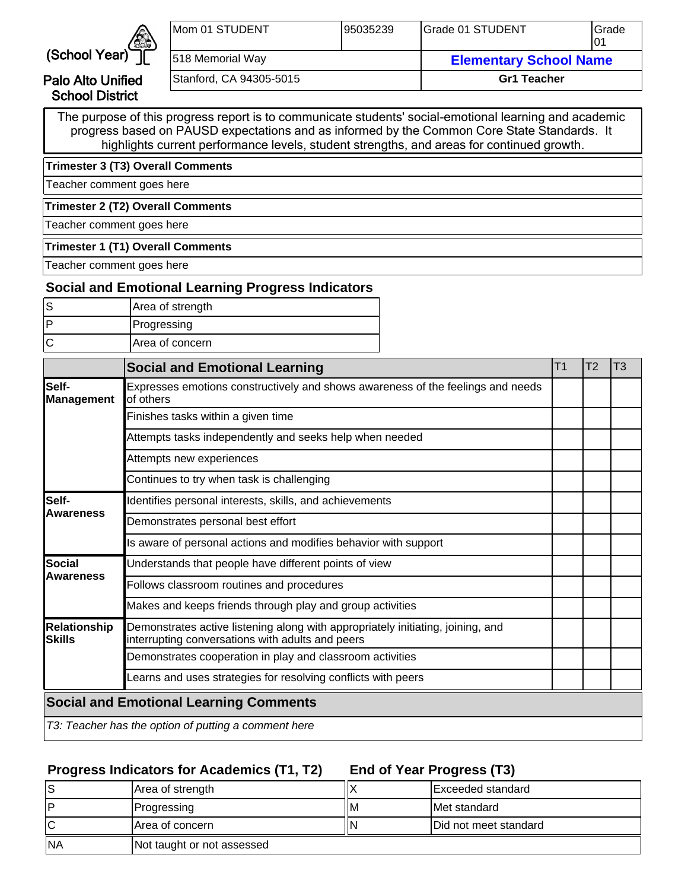

Palo Alto Unified School District

| <b>IMom 01 STUDENT</b>  | 195035239 | <b>IGrade 01 STUDENT</b>      | lGrade |  |
|-------------------------|-----------|-------------------------------|--------|--|
| 518 Memorial Way        |           | <b>Elementary School Name</b> |        |  |
| Stanford, CA 94305-5015 |           | <b>Gr1 Teacher</b>            |        |  |

The purpose of this progress report is to communicate students' social-emotional learning and academic progress based on PAUSD expectations and as informed by the Common Core State Standards. It highlights current performance levels, student strengths, and areas for continued growth.

**Trimester 3 (T3) Overall Comments**

Teacher comment goes here

**Trimester 2 (T2) Overall Comments**

Teacher comment goes here

#### **Trimester 1 (T1) Overall Comments**

Teacher comment goes here

## **Social and Emotional Learning Progress Indicators**

| Area of strength       |
|------------------------|
| Progressing            |
| <b>Area of concern</b> |

|                                | <b>Social and Emotional Learning</b>                                                                                                | T <sub>1</sub> | T <sub>2</sub> | T3 |
|--------------------------------|-------------------------------------------------------------------------------------------------------------------------------------|----------------|----------------|----|
| Self-<br>Management            | Expresses emotions constructively and shows awareness of the feelings and needs<br>of others                                        |                |                |    |
|                                | Finishes tasks within a given time                                                                                                  |                |                |    |
|                                | Attempts tasks independently and seeks help when needed                                                                             |                |                |    |
|                                | Attempts new experiences                                                                                                            |                |                |    |
|                                | Continues to try when task is challenging                                                                                           |                |                |    |
| Self-                          | Identifies personal interests, skills, and achievements                                                                             |                |                |    |
| <b>Awareness</b>               | Demonstrates personal best effort                                                                                                   |                |                |    |
|                                | Is aware of personal actions and modifies behavior with support                                                                     |                |                |    |
| lSocial                        | Understands that people have different points of view                                                                               |                |                |    |
| <b>Awareness</b>               | Follows classroom routines and procedures                                                                                           |                |                |    |
|                                | Makes and keeps friends through play and group activities                                                                           |                |                |    |
| <b>Relationship</b><br>lSkills | Demonstrates active listening along with appropriately initiating, joining, and<br>interrupting conversations with adults and peers |                |                |    |
|                                | Demonstrates cooperation in play and classroom activities                                                                           |                |                |    |
|                                | Learns and uses strategies for resolving conflicts with peers                                                                       |                |                |    |
|                                | <b>Social and Emotional Learning Comments</b>                                                                                       |                |                |    |
|                                | T3: Teacher has the option of putting a comment here                                                                                |                |                |    |

## **Progress Indicators for Academics (T1, T2)**

**End of Year Progress (T3)**

|           | Area of strength           |   | Exceeded standard             |
|-----------|----------------------------|---|-------------------------------|
| l D       | <b>Progressing</b>         | M | <b>IMet standard</b>          |
|           | Area of concern            |   | <b>IDid not meet standard</b> |
| <b>NA</b> | Not taught or not assessed |   |                               |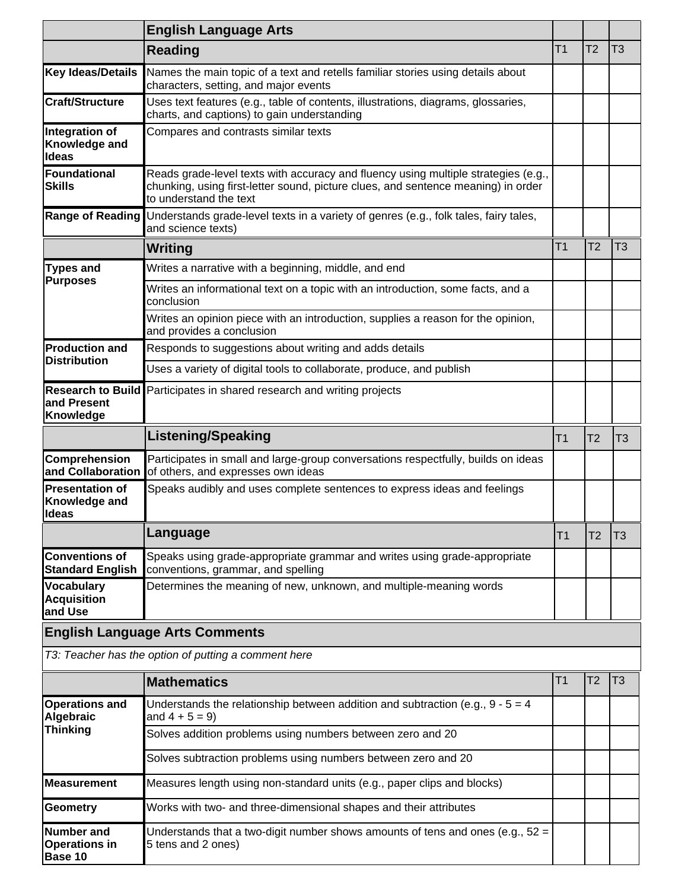|                                                      | <b>English Language Arts</b>                                                                                                                                                                      |                |                |                |
|------------------------------------------------------|---------------------------------------------------------------------------------------------------------------------------------------------------------------------------------------------------|----------------|----------------|----------------|
|                                                      | <b>Reading</b>                                                                                                                                                                                    | T <sub>1</sub> | T <sub>2</sub> | T <sub>3</sub> |
| Key Ideas/Details                                    | Names the main topic of a text and retells familiar stories using details about<br>characters, setting, and major events                                                                          |                |                |                |
| <b>Craft/Structure</b>                               | Uses text features (e.g., table of contents, illustrations, diagrams, glossaries,<br>charts, and captions) to gain understanding                                                                  |                |                |                |
| Integration of<br>Knowledge and<br>Ideas             | Compares and contrasts similar texts                                                                                                                                                              |                |                |                |
| <b> Foundational</b><br><b>Skills</b>                | Reads grade-level texts with accuracy and fluency using multiple strategies (e.g.,<br>chunking, using first-letter sound, picture clues, and sentence meaning) in order<br>to understand the text |                |                |                |
| <b>Range of Reading</b>                              | Understands grade-level texts in a variety of genres (e.g., folk tales, fairy tales,<br>and science texts)                                                                                        |                |                |                |
|                                                      | Writing                                                                                                                                                                                           | T <sub>1</sub> | T <sub>2</sub> | T <sub>3</sub> |
| <b>Types and</b>                                     | Writes a narrative with a beginning, middle, and end                                                                                                                                              |                |                |                |
| <b>Purposes</b>                                      | Writes an informational text on a topic with an introduction, some facts, and a<br>conclusion                                                                                                     |                |                |                |
|                                                      | Writes an opinion piece with an introduction, supplies a reason for the opinion,<br>and provides a conclusion                                                                                     |                |                |                |
| <b>Production and</b><br><b>Distribution</b>         | Responds to suggestions about writing and adds details                                                                                                                                            |                |                |                |
|                                                      | Uses a variety of digital tools to collaborate, produce, and publish                                                                                                                              |                |                |                |
| <b>Research to Build</b><br>and Present<br>Knowledge | Participates in shared research and writing projects                                                                                                                                              |                |                |                |
|                                                      | <b>Listening/Speaking</b>                                                                                                                                                                         | T <sub>1</sub> | T <sub>2</sub> | T3             |
| Comprehension<br>and Collaboration                   | Participates in small and large-group conversations respectfully, builds on ideas<br>of others, and expresses own ideas                                                                           |                |                |                |
| <b>Presentation of</b><br>Knowledge and<br>ldeas     | Speaks audibly and uses complete sentences to express ideas and feelings                                                                                                                          |                |                |                |
|                                                      | Language                                                                                                                                                                                          | T1             | T2             | T <sub>3</sub> |
| Conventions of<br><b>Standard English</b>            | Speaks using grade-appropriate grammar and writes using grade-appropriate<br>conventions, grammar, and spelling                                                                                   |                |                |                |
| <b>Vocabulary</b><br><b>Acquisition</b><br>and Use   | Determines the meaning of new, unknown, and multiple-meaning words                                                                                                                                |                |                |                |
|                                                      | <b>English Language Arts Comments</b>                                                                                                                                                             |                |                |                |

T3: Teacher has the option of putting a comment here

|                                               | <b>Mathematics</b>                                                                                     | l I 1 | 12 | T3 |
|-----------------------------------------------|--------------------------------------------------------------------------------------------------------|-------|----|----|
| <b>Operations and</b><br>Algebraic            | Understands the relationship between addition and subtraction (e.g., $9 - 5 = 4$<br>and $4 + 5 = 9$ )  |       |    |    |
| <b>Thinking</b>                               | Solves addition problems using numbers between zero and 20                                             |       |    |    |
|                                               | Solves subtraction problems using numbers between zero and 20                                          |       |    |    |
| <b>IMeasurement</b>                           | Measures length using non-standard units (e.g., paper clips and blocks)                                |       |    |    |
| Geometry                                      | Works with two- and three-dimensional shapes and their attributes                                      |       |    |    |
| Number and<br><b>Operations in</b><br>Base 10 | Understands that a two-digit number shows amounts of tens and ones (e.g., $52 =$<br>5 tens and 2 ones) |       |    |    |